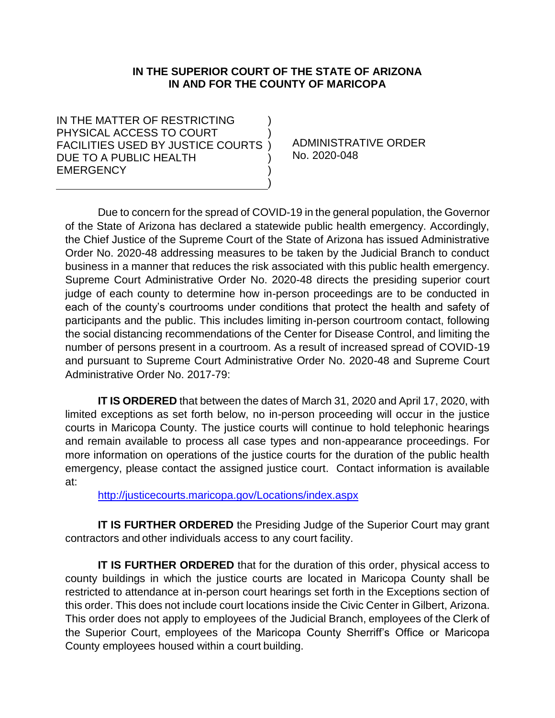### **IN THE SUPERIOR COURT OF THE STATE OF ARIZONA IN AND FOR THE COUNTY OF MARICOPA**

) )

) ) )

IN THE MATTER OF RESTRICTING PHYSICAL ACCESS TO COURT FACILITIES USED BY JUSTICE COURTS ) DUE TO A PUBLIC HEALTH EMERGENCY

ADMINISTRATIVE ORDER No. 2020-048

Due to concern for the spread of COVID-19 in the general population, the Governor of the State of Arizona has declared a statewide public health emergency. Accordingly, the Chief Justice of the Supreme Court of the State of Arizona has issued Administrative Order No. 2020-48 addressing measures to be taken by the Judicial Branch to conduct business in a manner that reduces the risk associated with this public health emergency. Supreme Court Administrative Order No. 2020-48 directs the presiding superior court judge of each county to determine how in-person proceedings are to be conducted in each of the county's courtrooms under conditions that protect the health and safety of participants and the public. This includes limiting in-person courtroom contact, following the social distancing recommendations of the Center for Disease Control, and limiting the number of persons present in a courtroom. As a result of increased spread of COVID-19 and pursuant to Supreme Court Administrative Order No. 2020-48 and Supreme Court Administrative Order No. 2017-79:

**IT IS ORDERED** that between the dates of March 31, 2020 and April 17, 2020, with limited exceptions as set forth below, no in-person proceeding will occur in the justice courts in Maricopa County. The justice courts will continue to hold telephonic hearings and remain available to process all case types and non-appearance proceedings. For more information on operations of the justice courts for the duration of the public health emergency, please contact the assigned justice court. Contact information is available at:

<http://justicecourts.maricopa.gov/Locations/index.aspx>

**IT IS FURTHER ORDERED** the Presiding Judge of the Superior Court may grant contractors and other individuals access to any court facility.

**IT IS FURTHER ORDERED** that for the duration of this order, physical access to county buildings in which the justice courts are located in Maricopa County shall be restricted to attendance at in-person court hearings set forth in the Exceptions section of this order. This does not include court locations inside the Civic Center in Gilbert, Arizona. This order does not apply to employees of the Judicial Branch, employees of the Clerk of the Superior Court, employees of the Maricopa County Sherriff's Office or Maricopa County employees housed within a court building.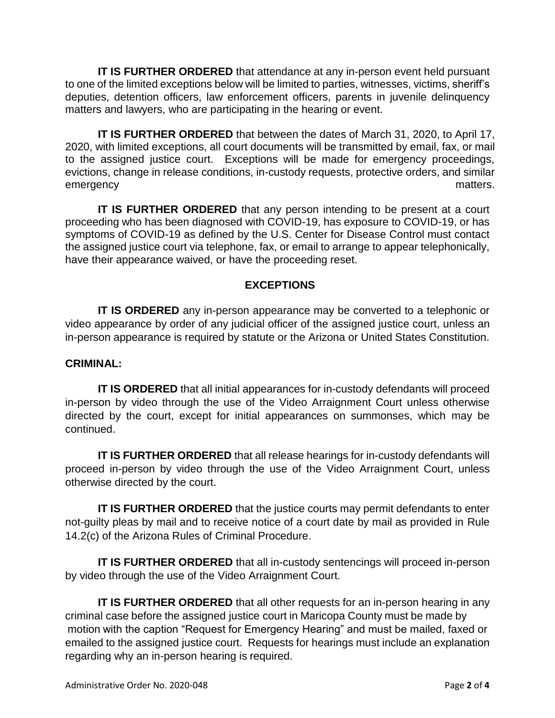**IT IS FURTHER ORDERED** that attendance at any in-person event held pursuant to one of the limited exceptions below will be limited to parties, witnesses, victims, sheriff's deputies, detention officers, law enforcement officers, parents in juvenile delinquency matters and lawyers, who are participating in the hearing or event.

**IT IS FURTHER ORDERED** that between the dates of March 31, 2020, to April 17, 2020, with limited exceptions, all court documents will be transmitted by email, fax, or mail to the assigned justice court. Exceptions will be made for emergency proceedings, evictions, change in release conditions, in-custody requests, protective orders, and similar emergency matters.

**IT IS FURTHER ORDERED** that any person intending to be present at a court proceeding who has been diagnosed with COVID-19, has exposure to COVID-19, or has symptoms of COVID-19 as defined by the U.S. Center for Disease Control must contact the assigned justice court via telephone, fax, or email to arrange to appear telephonically, have their appearance waived, or have the proceeding reset.

# **EXCEPTIONS**

**IT IS ORDERED** any in-person appearance may be converted to a telephonic or video appearance by order of any judicial officer of the assigned justice court, unless an in-person appearance is required by statute or the Arizona or United States Constitution.

### **CRIMINAL:**

**IT IS ORDERED** that all initial appearances for in-custody defendants will proceed in-person by video through the use of the Video Arraignment Court unless otherwise directed by the court, except for initial appearances on summonses, which may be continued.

**IT IS FURTHER ORDERED** that all release hearings for in-custody defendants will proceed in-person by video through the use of the Video Arraignment Court, unless otherwise directed by the court.

**IT IS FURTHER ORDERED** that the justice courts may permit defendants to enter not-guilty pleas by mail and to receive notice of a court date by mail as provided in Rule 14.2(c) of the Arizona Rules of Criminal Procedure.

**IT IS FURTHER ORDERED** that all in-custody sentencings will proceed in-person by video through the use of the Video Arraignment Court.

**IT IS FURTHER ORDERED** that all other requests for an in-person hearing in any criminal case before the assigned justice court in Maricopa County must be made by motion with the caption "Request for Emergency Hearing" and must be mailed, faxed or emailed to the assigned justice court. Requests for hearings must include an explanation regarding why an in-person hearing is required.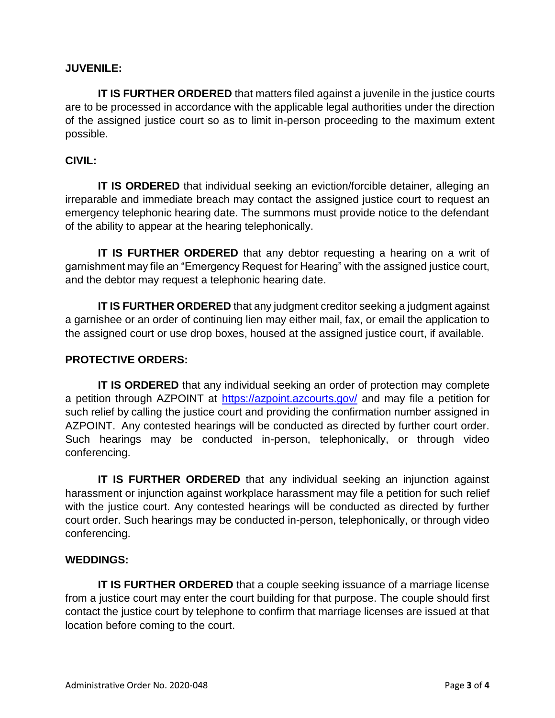# **JUVENILE:**

**IT IS FURTHER ORDERED** that matters filed against a juvenile in the justice courts are to be processed in accordance with the applicable legal authorities under the direction of the assigned justice court so as to limit in-person proceeding to the maximum extent possible.

## **CIVIL:**

**IT IS ORDERED** that individual seeking an eviction/forcible detainer, alleging an irreparable and immediate breach may contact the assigned justice court to request an emergency telephonic hearing date. The summons must provide notice to the defendant of the ability to appear at the hearing telephonically.

**IT IS FURTHER ORDERED** that any debtor requesting a hearing on a writ of garnishment may file an "Emergency Request for Hearing" with the assigned justice court, and the debtor may request a telephonic hearing date.

**IT IS FURTHER ORDERED** that any judgment creditor seeking a judgment against a garnishee or an order of continuing lien may either mail, fax, or email the application to the assigned court or use drop boxes, housed at the assigned justice court, if available.

### **PROTECTIVE ORDERS:**

**IT IS ORDERED** that any individual seeking an order of protection may complete a petition through AZPOINT at<https://azpoint.azcourts.gov/> and may file a petition for such relief by calling the justice court and providing the confirmation number assigned in AZPOINT. Any contested hearings will be conducted as directed by further court order. Such hearings may be conducted in-person, telephonically, or through video conferencing.

**IT IS FURTHER ORDERED** that any individual seeking an injunction against harassment or injunction against workplace harassment may file a petition for such relief with the justice court. Any contested hearings will be conducted as directed by further court order. Such hearings may be conducted in-person, telephonically, or through video conferencing.

### **WEDDINGS:**

**IT IS FURTHER ORDERED** that a couple seeking issuance of a marriage license from a justice court may enter the court building for that purpose. The couple should first contact the justice court by telephone to confirm that marriage licenses are issued at that location before coming to the court.